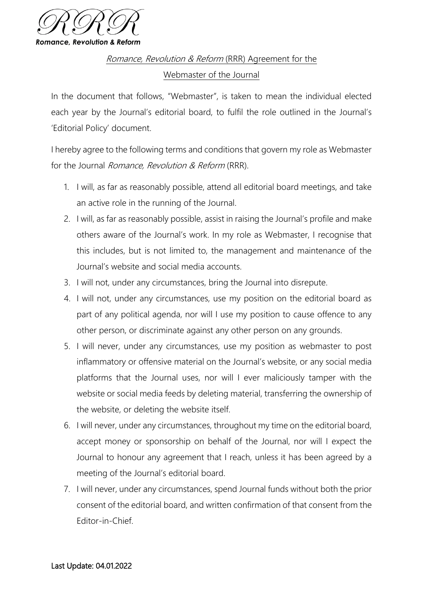

Romance, Revolution & Reform (RRR) Agreement for the Webmaster of the Journal

In the document that follows, "Webmaster", is taken to mean the individual elected each year by the Journal's editorial board, to fulfil the role outlined in the Journal's 'Editorial Policy' document.

I hereby agree to the following terms and conditions that govern my role as Webmaster for the Journal *Romance, Revolution & Reform* (RRR).

- 1. I will, as far as reasonably possible, attend all editorial board meetings, and take an active role in the running of the Journal.
- 2. I will, as far as reasonably possible, assist in raising the Journal's profile and make others aware of the Journal's work. In my role as Webmaster, I recognise that this includes, but is not limited to, the management and maintenance of the Journal's website and social media accounts.
- 3. I will not, under any circumstances, bring the Journal into disrepute.
- 4. I will not, under any circumstances, use my position on the editorial board as part of any political agenda, nor will I use my position to cause offence to any other person, or discriminate against any other person on any grounds.
- 5. I will never, under any circumstances, use my position as webmaster to post inflammatory or offensive material on the Journal's website, or any social media platforms that the Journal uses, nor will I ever maliciously tamper with the website or social media feeds by deleting material, transferring the ownership of the website, or deleting the website itself.
- 6. I will never, under any circumstances, throughout my time on the editorial board, accept money or sponsorship on behalf of the Journal, nor will I expect the Journal to honour any agreement that I reach, unless it has been agreed by a meeting of the Journal's editorial board.
- 7. I will never, under any circumstances, spend Journal funds without both the prior consent of the editorial board, and written confirmation of that consent from the Editor-in-Chief.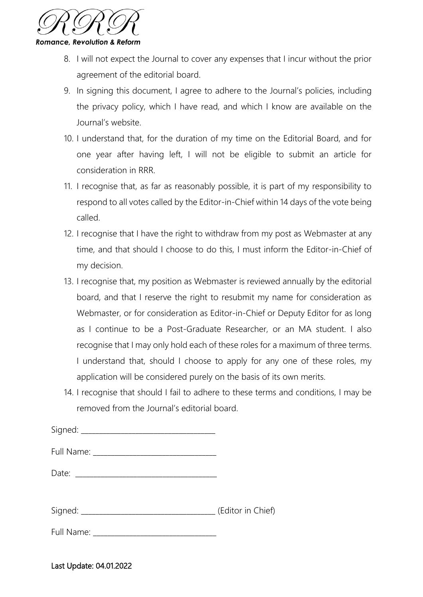

- 8. I will not expect the Journal to cover any expenses that I incur without the prior agreement of the editorial board.
- 9. In signing this document, I agree to adhere to the Journal's policies, including the privacy policy, which I have read, and which I know are available on the Journal's website.
- 10. I understand that, for the duration of my time on the Editorial Board, and for one year after having left, I will not be eligible to submit an article for consideration in RRR.
- 11. I recognise that, as far as reasonably possible, it is part of my responsibility to respond to all votes called by the Editor-in-Chief within 14 days of the vote being called.
- 12. I recognise that I have the right to withdraw from my post as Webmaster at any time, and that should I choose to do this, I must inform the Editor-in-Chief of my decision.
- 13. I recognise that, my position as Webmaster is reviewed annually by the editorial board, and that I reserve the right to resubmit my name for consideration as Webmaster, or for consideration as Editor-in-Chief or Deputy Editor for as long as I continue to be a Post-Graduate Researcher, or an MA student. I also recognise that I may only hold each of these roles for a maximum of three terms. I understand that, should I choose to apply for any one of these roles, my application will be considered purely on the basis of its own merits.
- 14. I recognise that should I fail to adhere to these terms and conditions, I may be removed from the Journal's editorial board.

| (Editor in Chief) |
|-------------------|

Full Name:

Last Update: 04.01.2022